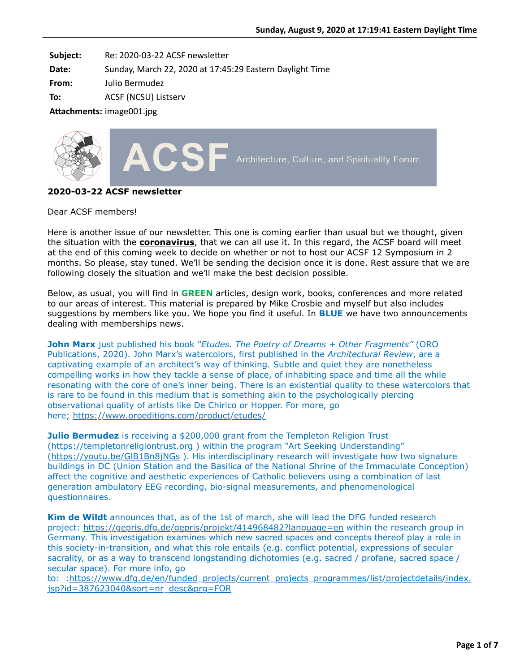**Subject:** Re: 2020-03-22 ACSF newsletter

**Date:** Sunday, March 22, 2020 at 17:45:29 Eastern Daylight Time

**From:** Julio Bermudez

**To:** ACSF (NCSU) Listserv

**Attachments:** image001.jpg



# **2020-03-22 ACSF newsletter**

Dear ACSF members!

Here is another issue of our newsletter. This one is coming earlier than usual but we thought, given the situation with the **coronavirus**, that we can all use it. In this regard, the ACSF board will meet at the end of this coming week to decide on whether or not to host our ACSF 12 Symposium in 2 months. So please, stay tuned. We'll be sending the decision once it is done. Rest assure that we are following closely the situation and we'll make the best decision possible.

Below, as usual, you will find in **GREEN** articles, design work, books, conferences and more related to our areas of interest. This material is prepared by Mike Crosbie and myself but also includes suggestions by members like you. We hope you find it useful. In **BLUE** we have two announcements dealing with memberships news.

**John Marx** just published his book *"Etudes. The Poetry of Dreams + Other Fragments"* (ORO Publications, 2020). John Marx's watercolors, first published in the *Architectural Review*, are a captivating example of an architect's way of thinking. Subtle and quiet they are nonetheless compelling works in how they tackle a sense of place, of inhabiting space and time all the while resonating with the core of one's inner being. There is an existential quality to these watercolors that is rare to be found in this medium that is something akin to the psychologically piercing observational quality of artists like De Chirico or Hopper. For more, go here; <https://www.oroeditions.com/product/etudes/>

**Julio Bermudez** is receiving a \$200,000 grant from the Templeton Religion Trust [\(https://templetonreligiontrust.org](https://templetonreligiontrust.org/?fbclid=IwAR3MzuXKoLu591X4GiG2C6tLgqE4btvQLmnjZCdsR15QsPLgxM2EtwzXDgM) ) within the program "Art Seeking Understanding" [\(https://youtu.be/GlB1Bn8jNGs](https://youtu.be/GlB1Bn8jNGs?fbclid=IwAR330X0r_nh1LN2Im4oeke-xCxvHjW3d42uN8aNVUHMtR2e3I1YhZ8nGwo8) ). His interdisciplinary research will investigate how two signature buildings in DC (Union Station and the Basilica of the National Shrine of the Immaculate Conception) affect the cognitive and aesthetic experiences of Catholic believers using a combination of last generation ambulatory EEG recording, bio-signal measurements, and phenomenological questionnaires.

**Kim de Wildt** announces that, as of the 1st of march, she will lead the DFG funded research project:<https://gepris.dfg.de/gepris/projekt/414968482?language=en>within the research group in Germany. This investigation examines which new sacred spaces and concepts thereof play a role in this society-in-transition, and what this role entails (e.g. conflict potential, expressions of secular sacrality, or as a way to transcend longstanding dichotomies (e.g. sacred / profane, sacred space / secular space). For more info, go

[to: :https://www.dfg.de/en/funded\\_projects/current\\_projects\\_programmes/list/projectdetails/index.](https://www.dfg.de/en/funded_projects/current_projects_programmes/list/projectdetails/index.jsp?id=387623040&sort=nr_desc&prg=FOR) jsp?id=387623040&sort=nr\_desc&prg=FOR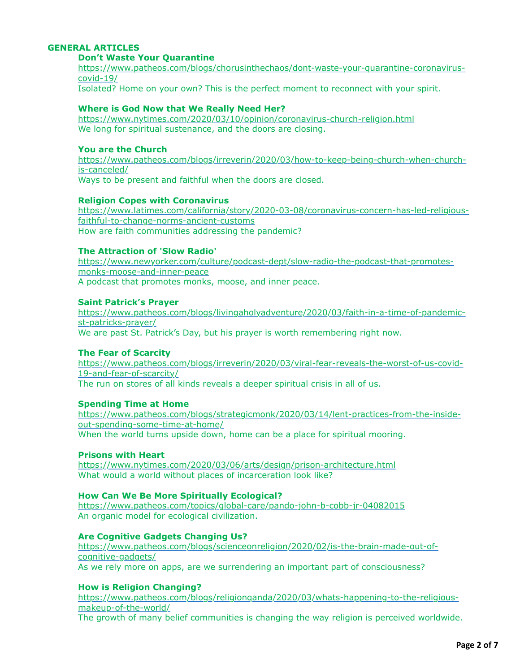# **GENERAL ARTICLES**

#### **Don't Waste Your Quarantine**

[https://www.patheos.com/blogs/chorusinthechaos/dont-waste-your-quarantine-coronavirus](https://www.patheos.com/blogs/chorusinthechaos/dont-waste-your-quarantine-coronavirus-covid-19/)covid-19/

Isolated? Home on your own? This is the perfect moment to reconnect with your spirit.

# **Where is God Now that We Really Need Her?**

<https://www.nytimes.com/2020/03/10/opinion/coronavirus-church-religion.html> We long for spiritual sustenance, and the doors are closing.

# **You are the Church**

[https://www.patheos.com/blogs/irreverin/2020/03/how-to-keep-being-church-when-church](https://www.patheos.com/blogs/irreverin/2020/03/how-to-keep-being-church-when-church-is-canceled/)is-canceled/ Ways to be present and faithful when the doors are closed.

#### **Religion Copes with Coronavirus**

[https://www.latimes.com/california/story/2020-03-08/coronavirus-concern-has-led-religious](https://www.latimes.com/california/story/2020-03-08/coronavirus-concern-has-led-religious-faithful-to-change-norms-ancient-customs)faithful-to-change-norms-ancient-customs How are faith communities addressing the pandemic?

#### **The Attraction of 'Slow Radio'**

[https://www.newyorker.com/culture/podcast-dept/slow-radio-the-podcast-that-promotes](https://www.newyorker.com/culture/podcast-dept/slow-radio-the-podcast-that-promotes-monks-moose-and-inner-peace)monks-moose-and-inner-peace A podcast that promotes monks, moose, and inner peace.

#### **Saint Patrick's Prayer**

[https://www.patheos.com/blogs/livingaholyadventure/2020/03/faith-in-a-time-of-pandemic](https://www.patheos.com/blogs/livingaholyadventure/2020/03/faith-in-a-time-of-pandemic-st-patricks-prayer/)st-patricks-prayer/ We are past St. Patrick's Day, but his prayer is worth remembering right now.

#### **The Fear of Scarcity**

[https://www.patheos.com/blogs/irreverin/2020/03/viral-fear-reveals-the-worst-of-us-covid-](https://www.patheos.com/blogs/irreverin/2020/03/viral-fear-reveals-the-worst-of-us-covid-19-and-fear-of-scarcity/)19-and-fear-of-scarcity/

The run on stores of all kinds reveals a deeper spiritual crisis in all of us.

# **Spending Time at Home**

[https://www.patheos.com/blogs/strategicmonk/2020/03/14/lent-practices-from-the-inside](https://www.patheos.com/blogs/strategicmonk/2020/03/14/lent-practices-from-the-inside-out-spending-some-time-at-home/)out-spending-some-time-at-home/ When the world turns upside down, home can be a place for spiritual mooring.

# **Prisons with Heart**

<https://www.nytimes.com/2020/03/06/arts/design/prison-architecture.html> What would a world without places of incarceration look like?

## **How Can We Be More Spiritually Ecological?**

<https://www.patheos.com/topics/global-care/pando-john-b-cobb-jr-04082015> An organic model for ecological civilization.

# **Are Cognitive Gadgets Changing Us?**

[https://www.patheos.com/blogs/scienceonreligion/2020/02/is-the-brain-made-out-of](https://www.patheos.com/blogs/scienceonreligion/2020/02/is-the-brain-made-out-of-cognitive-gadgets/)cognitive-gadgets/ As we rely more on apps, are we surrendering an important part of consciousness?

# **How is Religion Changing?**

[https://www.patheos.com/blogs/religionqanda/2020/03/whats-happening-to-the-religious](https://www.patheos.com/blogs/religionqanda/2020/03/whats-happening-to-the-religious-makeup-of-the-world/)makeup-of-the-world/ The growth of many belief communities is changing the way religion is perceived worldwide.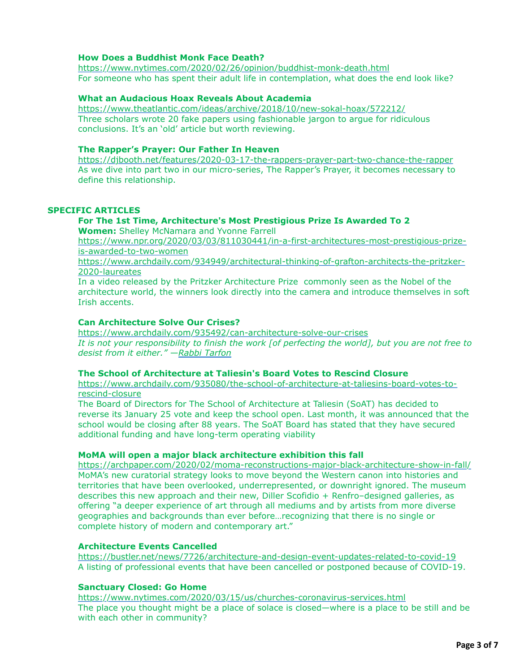#### **How Does a Buddhist Monk Face Death?**

<https://www.nytimes.com/2020/02/26/opinion/buddhist-monk-death.html> For someone who has spent their adult life in contemplation, what does the end look like?

#### **What an Audacious Hoax Reveals About Academia**

<https://www.theatlantic.com/ideas/archive/2018/10/new-sokal-hoax/572212/> Three scholars wrote 20 fake papers using fashionable jargon to argue for ridiculous conclusions. It's an 'old' article but worth reviewing.

#### **The Rapper's Prayer: Our Father In Heaven**

<https://djbooth.net/features/2020-03-17-the-rappers-prayer-part-two-chance-the-rapper> As we dive into part two in our micro-series, The Rapper's Prayer, it becomes necessary to define this relationship.

# **SPECIFIC ARTICLES**

# **For The 1st Time, Architecture's Most Prestigious Prize Is Awarded To 2**

**Women:** Shelley McNamara and Yvonne Farrell

[https://www.npr.org/2020/03/03/811030441/in-a-first-architectures-most-prestigious-prize](https://www.npr.org/2020/03/03/811030441/in-a-first-architectures-most-prestigious-prize-is-awarded-to-two-women)is-awarded-to-two-women

[https://www.archdaily.com/934949/architectural-thinking-of-grafton-architects-the-pritzker-](https://www.archdaily.com/934949/architectural-thinking-of-grafton-architects-the-pritzker-2020-laureates)2020-laureates

In a video released by the Pritzker Architecture Prize commonly seen as the Nobel of the architecture world, the winners look directly into the camera and introduce themselves in soft Irish accents.

# **Can Architecture Solve Our Crises?**

<https://www.archdaily.com/935492/can-architecture-solve-our-crises> *It is not your responsibility to finish the work [of perfecting the world], but you are not free to desist from it either." [—Rabbi Tarfon](https://en.wikipedia.org/wiki/Pirkei_Avot?utm_medium=website&utm_source=archdaily.com)*

#### **The School of Architecture at Taliesin's Board Votes to Rescind Closure**

[https://www.archdaily.com/935080/the-school-of-architecture-at-taliesins-board-votes-to](https://www.archdaily.com/935080/the-school-of-architecture-at-taliesins-board-votes-to-rescind-closure)rescind-closure

The Board of Directors for The School of Architecture at Taliesin (SoAT) has decided to reverse its January 25 vote and keep the school open. Last month, it was announced that the school would be closing after 88 years. The SoAT Board has stated that they have secured additional funding and have long-term operating viability

#### **MoMA will open a major black architecture exhibition this fall**

<https://archpaper.com/2020/02/moma-reconstructions-major-black-architecture-show-in-fall/> MoMA's new curatorial strategy looks to move beyond the Western canon into histories and territories that have been overlooked, underrepresented, or downright ignored. The museum describes this new approach and their new, Diller Scofidio + Renfro–designed galleries, as offering "a deeper experience of art through all mediums and by artists from more diverse geographies and backgrounds than ever before…recognizing that there is no single or complete history of modern and contemporary art."

#### **Architecture Events Cancelled**

<https://bustler.net/news/7726/architecture-and-design-event-updates-related-to-covid-19> A listing of professional events that have been cancelled or postponed because of COVID-19.

#### **Sanctuary Closed: Go Home**

<https://www.nytimes.com/2020/03/15/us/churches-coronavirus-services.html> The place you thought might be a place of solace is closed—where is a place to be still and be with each other in community?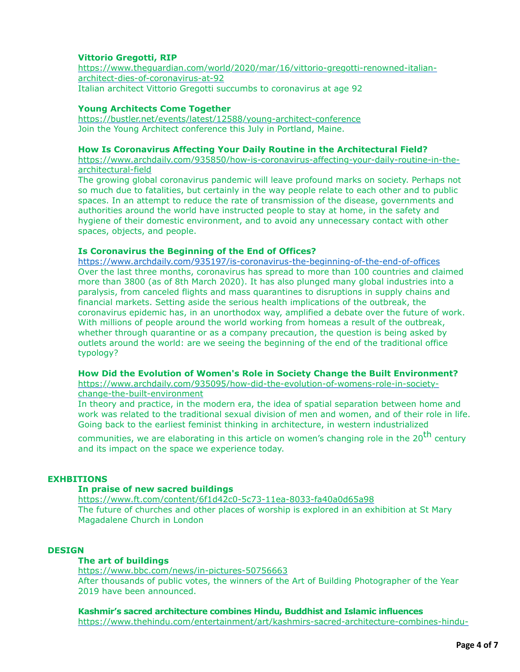# **Vittorio Gregotti, RIP**

[https://www.theguardian.com/world/2020/mar/16/vittorio-gregotti-renowned-italian](https://www.theguardian.com/world/2020/mar/16/vittorio-gregotti-renowned-italian-architect-dies-of-coronavirus-at-92)architect-dies-of-coronavirus-at-92 Italian architect Vittorio Gregotti succumbs to coronavirus at age 92

# **Young Architects Come Together**

<https://bustler.net/events/latest/12588/young-architect-conference> Join the Young Architect conference this July in Portland, Maine.

#### **How Is Coronavirus Affecting Your Daily Routine in the Architectural Field?**

[https://www.archdaily.com/935850/how-is-coronavirus-affecting-your-daily-routine-in-the](https://www.archdaily.com/935850/how-is-coronavirus-affecting-your-daily-routine-in-the-architectural-field)architectural-field

The growing global coronavirus pandemic will leave profound marks on society. Perhaps not so much due to fatalities, but certainly in the way people relate to each other and to public spaces. In an attempt to reduce the rate of transmission of the disease, governments and authorities around the world have instructed people to stay at home, in the safety and hygiene of their domestic environment, and to avoid any unnecessary contact with other spaces, objects, and people.

# **Is Coronavirus the Beginning of the End of Offices?**

<https://www.archdaily.com/935197/is-coronavirus-the-beginning-of-the-end-of-offices> Over the last three months, coronavirus has spread to more than 100 countries and claimed more than 3800 (as of 8th March 2020). It has also plunged many global industries into a paralysis, from canceled flights and mass quarantines to disruptions in supply chains and financial markets. Setting aside the serious health implications of the outbreak, the coronavirus epidemic has, in an unorthodox way, amplified a debate over the future of work. With millions of people around the world working from homeas a result of the outbreak, whether through quarantine or as a company precaution, the question is being asked by outlets around the world: are we seeing the beginning of the end of the traditional office typology?

# **How Did the Evolution of Women's Role in Society Change the Built Environment?**

[https://www.archdaily.com/935095/how-did-the-evolution-of-womens-role-in-society](https://www.archdaily.com/935095/how-did-the-evolution-of-womens-role-in-society-change-the-built-environment)change-the-built-environment

In theory and practice, in the modern era, the idea of spatial separation between home and work was related to the traditional sexual division of men and women, and of their role in life. Going back to the earliest feminist thinking in architecture, in western industrialized

communities, we are elaborating in this article on women's changing role in the 20<sup>th</sup> century and its impact on the space we experience today.

# **EXHBITIONS**

# **In praise of new sacred buildings**

<https://www.ft.com/content/6f1d42c0-5c73-11ea-8033-fa40a0d65a98> The future of churches and other places of worship is explored in an exhibition at St Mary Magadalene Church in London

# **DESIGN**

# **The art of buildings**

<https://www.bbc.com/news/in-pictures-50756663> After thousands of public votes, the winners of the Art of Building Photographer of the Year 2019 have been announced.

**Kashmir's sacred architecture combines Hindu, Buddhist and Islamic influences** [https://www.thehindu.com/entertainment/art/kashmirs-sacred-architecture-combines-hindu-](https://www.thehindu.com/entertainment/art/kashmirs-sacred-architecture-combines-hindu-buddhist-and-islamic-influences/article31110251.ece)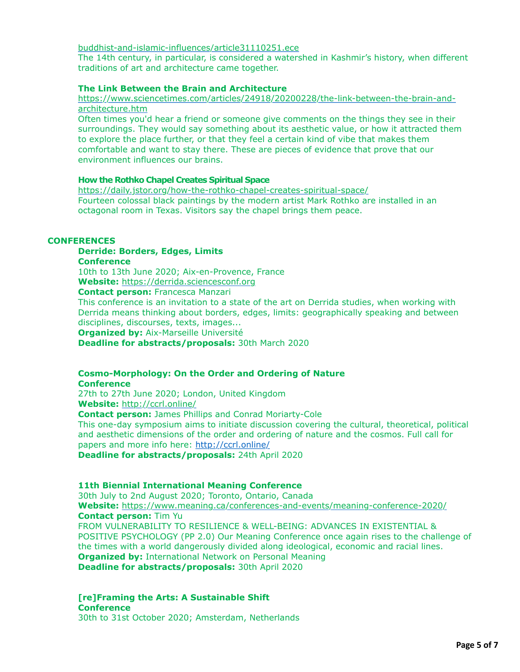#### [buddhist-and-islamic-influences/article31110251.ece](https://www.thehindu.com/entertainment/art/kashmirs-sacred-architecture-combines-hindu-buddhist-and-islamic-influences/article31110251.ece)

The 14th century, in particular, is considered a watershed in Kashmir's history, when different traditions of art and architecture came together.

# **The Link Between the Brain and Architecture**

#### [https://www.sciencetimes.com/articles/24918/20200228/the-link-between-the-brain-and](https://www.sciencetimes.com/articles/24918/20200228/the-link-between-the-brain-and-architecture.htm)architecture.htm

Often times you'd hear a friend or someone give comments on the things they see in their surroundings. They would say something about its aesthetic value, or how it attracted them to explore the place further, or that they feel a certain kind of vibe that makes them comfortable and want to stay there. These are pieces of evidence that prove that our environment influences our brains.

#### **How the Rothko Chapel Creates Spiritual Space**

<https://daily.jstor.org/how-the-rothko-chapel-creates-spiritual-space/> Fourteen colossal black paintings by the modern artist Mark Rothko are installed in an octagonal room in Texas. Visitors say the chapel brings them peace.

#### **CONFERENCES**

# **Derride: Borders, Edges, Limits**

**Conference**

10th to 13th June 2020; Aix-en-Provence, France

**Website:** [https://derrida.sciencesconf.org](https://derrida.sciencesconf.org/)

**Contact person:** Francesca Manzari

This conference is an invitation to a state of the art on Derrida studies, when working with Derrida means thinking about borders, edges, limits: geographically speaking and between disciplines, discourses, texts, images...

**Organized by:** Aix-Marseille Université

**Deadline for abstracts/proposals:** 30th March 2020

#### **Cosmo-Morphology: On the Order and Ordering of Nature Conference**

27th to 27th June 2020; London, United Kingdom

**Website:** <http://ccrl.online/>

**Contact person:** James Phillips and Conrad Moriarty-Cole This one-day symposium aims to initiate discussion covering the cultural, theoretical, political and aesthetic dimensions of the order and ordering of nature and the cosmos. Full call for papers and more info here: <http://ccrl.online/>

**Deadline for abstracts/proposals:** 24th April 2020

# **11th Biennial International Meaning Conference**

30th July to 2nd August 2020; Toronto, Ontario, Canada **Website:** <https://www.meaning.ca/conferences-and-events/meaning-conference-2020/> **Contact person:** Tim Yu FROM VULNERABILITY TO RESILIENCE & WELL-BEING: ADVANCES IN EXISTENTIAL & POSITIVE PSYCHOLOGY (PP 2.0) Our Meaning Conference once again rises to the challenge of the times with a world dangerously divided along ideological, economic and racial lines. **Organized by: International Network on Personal Meaning Deadline for abstracts/proposals:** 30th April 2020

**[re]Framing the Arts: A Sustainable Shift Conference** 30th to 31st October 2020; Amsterdam, Netherlands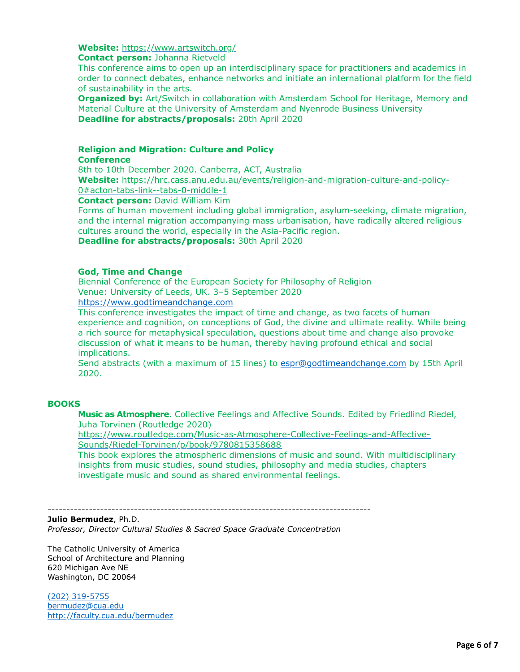#### **Website:** <https://www.artswitch.org/>

**Contact person:** Johanna Rietveld

This conference aims to open up an interdisciplinary space for practitioners and academics in order to connect debates, enhance networks and initiate an international platform for the field of sustainability in the arts.

**Organized by:** Art/Switch in collaboration with Amsterdam School for Heritage, Memory and Material Culture at the University of Amsterdam and Nyenrode Business University **Deadline for abstracts/proposals:** 20th April 2020

# **Religion and Migration: Culture and Policy**

#### **Conference**

8th to 10th December 2020. Canberra, ACT, Australia

**Website:** [https://hrc.cass.anu.edu.au/events/religion-and-migration-culture-and-policy-](https://hrc.cass.anu.edu.au/events/religion-and-migration-culture-and-policy-0#acton-tabs-link--tabs-0-middle-1)0#acton-tabs-link--tabs-0-middle-1

**Contact person:** David William Kim

Forms of human movement including global immigration, asylum-seeking, climate migration, and the internal migration accompanying mass urbanisation, have radically altered religious cultures around the world, especially in the Asia-Pacific region.

**Deadline for abstracts/proposals:** 30th April 2020

#### **God, Time and Change**

Biennial Conference of the European Society for Philosophy of Religion Venue: University of Leeds, UK. 3–5 September 2020

[https://www.godtimeandchange.com](https://www.godtimeandchange.com/)

This conference investigates the impact of time and change, as two facets of human experience and cognition, on conceptions of God, the divine and ultimate reality. While being a rich source for metaphysical speculation, questions about time and change also provoke discussion of what it means to be human, thereby having profound ethical and social implications.

Send abstracts (with a maximum of 15 lines) to [espr@godtimeandchange.com](mailto:espr@godtimeandchange.com) by 15th April 2020.

# **BOOKS**

**Music as Atmosphere**. Collective Feelings and Affective Sounds. Edited by Friedlind Riedel, Juha Torvinen (Routledge 2020)

[https://www.routledge.com/Music-as-Atmosphere-Collective-Feelings-and-Affective-](https://www.routledge.com/Music-as-Atmosphere-Collective-Feelings-and-Affective-Sounds/Riedel-Torvinen/p/book/9780815358688)Sounds/Riedel-Torvinen/p/book/9780815358688

This book explores the atmospheric dimensions of music and sound. With multidisciplinary insights from music studies, sound studies, philosophy and media studies, chapters investigate music and sound as shared environmental feelings.

--------------------------------------------------------------------------------------

#### **Julio Bermudez**, Ph.D.

*Professor, Director Cultural Studies & Sacred Space Graduate Concentration*

The Catholic University of America School of Architecture and Planning 620 Michigan Ave NE Washington, DC 20064

[\(202\) 319-5755](tel:(202)%20319-5755) [bermudez@cua.edu](http://bermudez@cua.edu/) <http://faculty.cua.edu/bermudez>